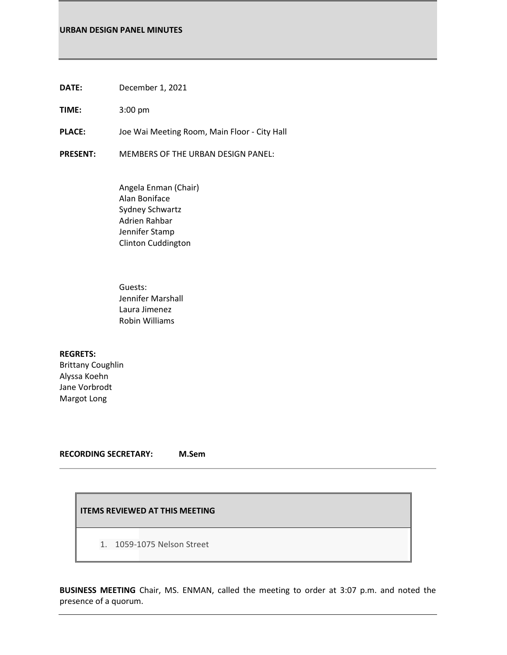**DATE:** December 1, 2021

**TIME:** 3:00 pm

**PLACE:** Joe Wai Meeting Room, Main Floor - City Hall

**PRESENT:** MEMBERS OF THE URBAN DESIGN PANEL:

Angela Enman (Chair) Alan Boniface Sydney Schwartz Adrien Rahbar Jennifer Stamp Clinton Cuddington

Guests: Jennifer Marshall Laura Jimenez Robin Williams

**REGRETS:** Brittany Coughlin Alyssa Koehn Jane Vorbrodt Margot Long

**RECORDING SECRETARY: M.Sem**

## **ITEMS REVIEWED AT THIS MEETING**

1. 1059-1075 Nelson Street

**BUSINESS MEETING** Chair, MS. ENMAN, called the meeting to order at 3:07 p.m. and noted the presence of a quorum.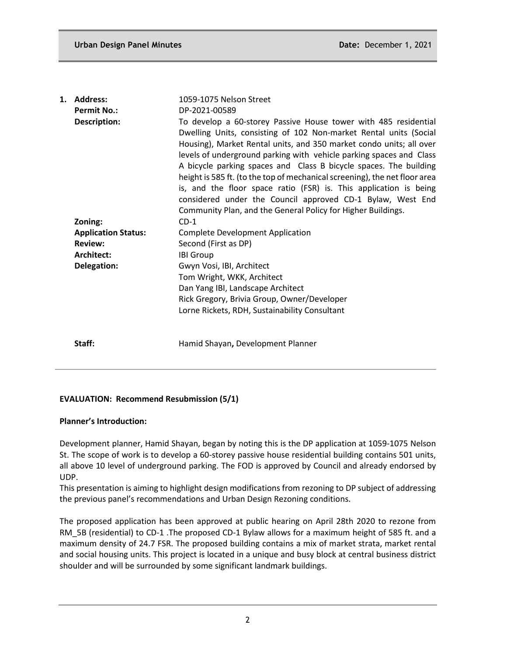| 1. | <b>Address:</b>            | 1059-1075 Nelson Street                                                                                                                                                                                                                                                                                                                                                                                                                                                                                                                                                                                                                  |
|----|----------------------------|------------------------------------------------------------------------------------------------------------------------------------------------------------------------------------------------------------------------------------------------------------------------------------------------------------------------------------------------------------------------------------------------------------------------------------------------------------------------------------------------------------------------------------------------------------------------------------------------------------------------------------------|
|    | <b>Permit No.:</b>         | DP-2021-00589                                                                                                                                                                                                                                                                                                                                                                                                                                                                                                                                                                                                                            |
|    | Description:               | To develop a 60-storey Passive House tower with 485 residential<br>Dwelling Units, consisting of 102 Non-market Rental units (Social<br>Housing), Market Rental units, and 350 market condo units; all over<br>levels of underground parking with vehicle parking spaces and Class<br>A bicycle parking spaces and Class B bicycle spaces. The building<br>height is 585 ft. (to the top of mechanical screening), the net floor area<br>is, and the floor space ratio (FSR) is. This application is being<br>considered under the Council approved CD-1 Bylaw, West End<br>Community Plan, and the General Policy for Higher Buildings. |
|    | Zoning:                    | $CD-1$                                                                                                                                                                                                                                                                                                                                                                                                                                                                                                                                                                                                                                   |
|    | <b>Application Status:</b> | <b>Complete Development Application</b>                                                                                                                                                                                                                                                                                                                                                                                                                                                                                                                                                                                                  |
|    | <b>Review:</b>             | Second (First as DP)                                                                                                                                                                                                                                                                                                                                                                                                                                                                                                                                                                                                                     |
|    | Architect:                 | <b>IBI Group</b>                                                                                                                                                                                                                                                                                                                                                                                                                                                                                                                                                                                                                         |
|    | Delegation:                | Gwyn Vosi, IBI, Architect<br>Tom Wright, WKK, Architect                                                                                                                                                                                                                                                                                                                                                                                                                                                                                                                                                                                  |
|    |                            | Dan Yang IBI, Landscape Architect                                                                                                                                                                                                                                                                                                                                                                                                                                                                                                                                                                                                        |
|    |                            | Rick Gregory, Brivia Group, Owner/Developer<br>Lorne Rickets, RDH, Sustainability Consultant                                                                                                                                                                                                                                                                                                                                                                                                                                                                                                                                             |
|    | Staff:                     | Hamid Shayan, Development Planner                                                                                                                                                                                                                                                                                                                                                                                                                                                                                                                                                                                                        |

# **EVALUATION: Recommend Resubmission (5/1)**

# **Planner's Introduction:**

Development planner, Hamid Shayan, began by noting this is the DP application at 1059-1075 Nelson St. The scope of work is to develop a 60-storey passive house residential building contains 501 units, all above 10 level of underground parking. The FOD is approved by Council and already endorsed by UDP.

This presentation is aiming to highlight design modifications from rezoning to DP subject of addressing the previous panel's recommendations and Urban Design Rezoning conditions.

The proposed application has been approved at public hearing on April 28th 2020 to rezone from RM\_5B (residential) to CD-1 .The proposed CD-1 Bylaw allows for a maximum height of 585 ft. and a maximum density of 24.7 FSR. The proposed building contains a mix of market strata, market rental and social housing units. This project is located in a unique and busy block at central business district shoulder and will be surrounded by some significant landmark buildings.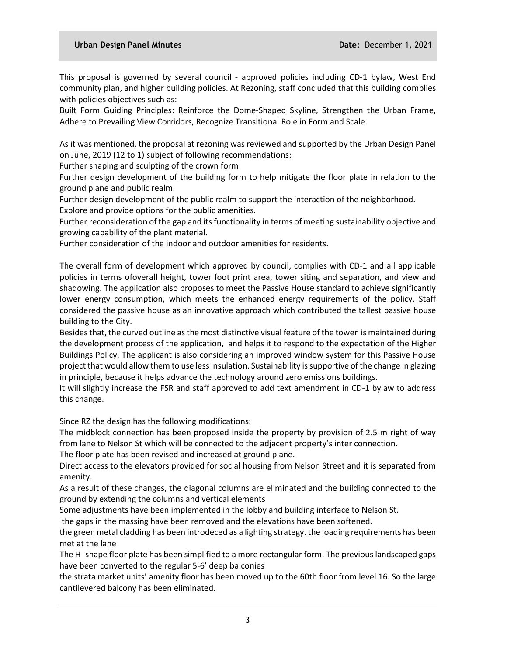This proposal is governed by several council - approved policies including CD-1 bylaw, West End community plan, and higher building policies. At Rezoning, staff concluded that this building complies with policies objectives such as:

Built Form Guiding Principles: Reinforce the Dome-Shaped Skyline, Strengthen the Urban Frame, Adhere to Prevailing View Corridors, Recognize Transitional Role in Form and Scale.

As it was mentioned, the proposal at rezoning was reviewed and supported by the Urban Design Panel on June, 2019 (12 to 1) subject of following recommendations:

Further shaping and sculpting of the crown form

Further design development of the building form to help mitigate the floor plate in relation to the ground plane and public realm.

Further design development of the public realm to support the interaction of the neighborhood. Explore and provide options for the public amenities.

Further reconsideration of the gap and its functionality in terms of meeting sustainability objective and growing capability of the plant material.

Further consideration of the indoor and outdoor amenities for residents.

The overall form of development which approved by council, complies with CD-1 and all applicable policies in terms ofoverall height, tower foot print area, tower siting and separation, and view and shadowing. The application also proposes to meet the Passive House standard to achieve significantly lower energy consumption, which meets the enhanced energy requirements of the policy. Staff considered the passive house as an innovative approach which contributed the tallest passive house building to the City.

Besides that, the curved outline as the most distinctive visual feature of the tower is maintained during the development process of the application, and helps it to respond to the expectation of the Higher Buildings Policy. The applicant is also considering an improved window system for this Passive House project that would allow them to use less insulation. Sustainability is supportive of the change in glazing in principle, because it helps advance the technology around zero emissions buildings.

It will slightly increase the FSR and staff approved to add text amendment in CD-1 bylaw to address this change.

Since RZ the design has the following modifications:

The midblock connection has been proposed inside the property by provision of 2.5 m right of way from lane to Nelson St which will be connected to the adjacent property's inter connection.

The floor plate has been revised and increased at ground plane.

Direct access to the elevators provided for social housing from Nelson Street and it is separated from amenity.

As a result of these changes, the diagonal columns are eliminated and the building connected to the ground by extending the columns and vertical elements

Some adjustments have been implemented in the lobby and building interface to Nelson St.

the gaps in the massing have been removed and the elevations have been softened.

the green metal cladding has been introdeced as a lighting strategy. the loading requirements has been met at the lane

The H-shape floor plate has been simplified to a more rectangular form. The previous landscaped gaps have been converted to the regular 5-6' deep balconies

the strata market units' amenity floor has been moved up to the 60th floor from level 16. So the large cantilevered balcony has been eliminated.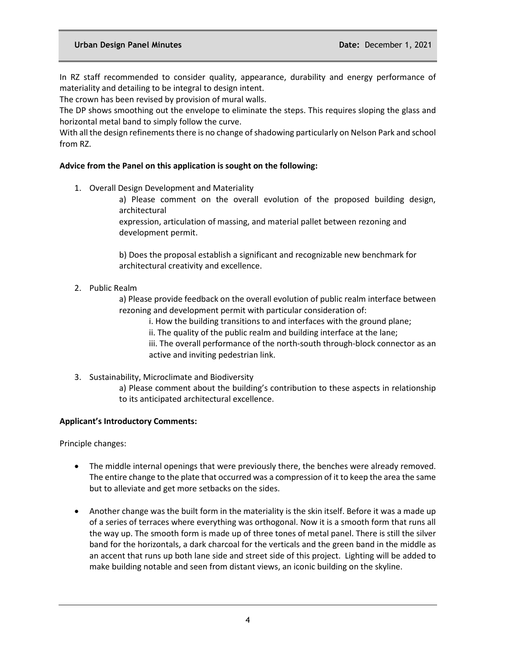In RZ staff recommended to consider quality, appearance, durability and energy performance of materiality and detailing to be integral to design intent.

The crown has been revised by provision of mural walls.

The DP shows smoothing out the envelope to eliminate the steps. This requires sloping the glass and horizontal metal band to simply follow the curve.

With all the design refinements there is no change of shadowing particularly on Nelson Park and school from RZ.

# **Advice from the Panel on this application is sought on the following:**

1. Overall Design Development and Materiality

a) Please comment on the overall evolution of the proposed building design, architectural

expression, articulation of massing, and material pallet between rezoning and development permit.

b) Does the proposal establish a significant and recognizable new benchmark for architectural creativity and excellence.

2. Public Realm

a) Please provide feedback on the overall evolution of public realm interface between rezoning and development permit with particular consideration of:

i. How the building transitions to and interfaces with the ground plane;

ii. The quality of the public realm and building interface at the lane;

iii. The overall performance of the north-south through-block connector as an active and inviting pedestrian link.

3. Sustainability, Microclimate and Biodiversity

a) Please comment about the building's contribution to these aspects in relationship to its anticipated architectural excellence.

# **Applicant's Introductory Comments:**

Principle changes:

- The middle internal openings that were previously there, the benches were already removed. The entire change to the plate that occurred was a compression of it to keep the area the same but to alleviate and get more setbacks on the sides.
- Another change was the built form in the materiality is the skin itself. Before it was a made up of a series of terraces where everything was orthogonal. Now it is a smooth form that runs all the way up. The smooth form is made up of three tones of metal panel. There is still the silver band for the horizontals, a dark charcoal for the verticals and the green band in the middle as an accent that runs up both lane side and street side of this project. Lighting will be added to make building notable and seen from distant views, an iconic building on the skyline.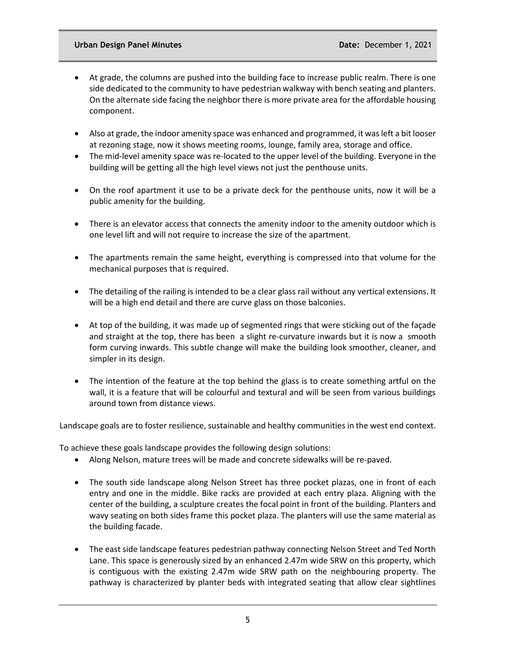- At grade, the columns are pushed into the building face to increase public realm. There is one side dedicated to the community to have pedestrian walkway with bench seating and planters. On the alternate side facing the neighbor there is more private area for the affordable housing component.
- Also at grade, the indoor amenity space was enhanced and programmed, it was left a bit looser at rezoning stage, now it shows meeting rooms, lounge, family area, storage and office.
- The mid-level amenity space was re-located to the upper level of the building. Everyone in the building will be getting all the high level views not just the penthouse units.
- On the roof apartment it use to be a private deck for the penthouse units, now it will be a public amenity for the building.
- There is an elevator access that connects the amenity indoor to the amenity outdoor which is one level lift and will not require to increase the size of the apartment.
- The apartments remain the same height, everything is compressed into that volume for the mechanical purposes that is required.
- The detailing of the railing is intended to be a clear glass rail without any vertical extensions. It will be a high end detail and there are curve glass on those balconies.
- At top of the building, it was made up of segmented rings that were sticking out of the façade and straight at the top, there has been a slight re-curvature inwards but it is now a smooth form curving inwards. This subtle change will make the building look smoother, cleaner, and simpler in its design.
- The intention of the feature at the top behind the glass is to create something artful on the wall, it is a feature that will be colourful and textural and will be seen from various buildings around town from distance views.

Landscape goals are to foster resilience, sustainable and healthy communities in the west end context.

To achieve these goals landscape provides the following design solutions:

- Along Nelson, mature trees will be made and concrete sidewalks will be re-paved.
- The south side landscape along Nelson Street has three pocket plazas, one in front of each entry and one in the middle. Bike racks are provided at each entry plaza. Aligning with the center of the building, a sculpture creates the focal point in front of the building. Planters and wavy seating on both sides frame this pocket plaza. The planters will use the same material as the building facade.
- The east side landscape features pedestrian pathway connecting Nelson Street and Ted North Lane. This space is generously sized by an enhanced 2.47m wide SRW on this property, which is contiguous with the existing 2.47m wide SRW path on the neighbouring property. The pathway is characterized by planter beds with integrated seating that allow clear sightlines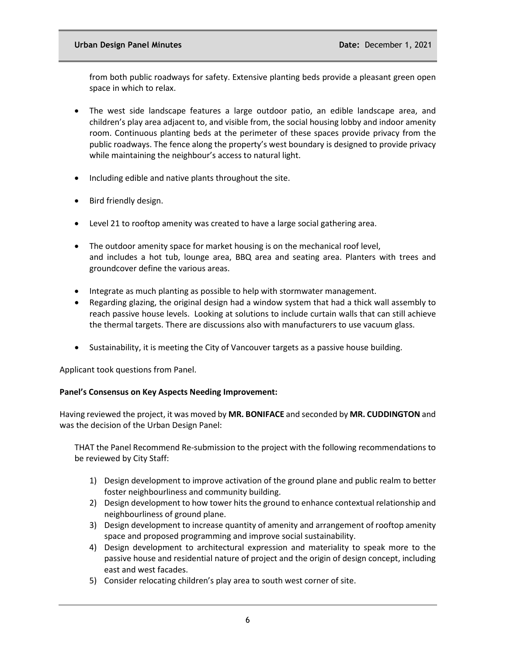from both public roadways for safety. Extensive planting beds provide a pleasant green open space in which to relax.

- The west side landscape features a large outdoor patio, an edible landscape area, and children's play area adjacent to, and visible from, the social housing lobby and indoor amenity room. Continuous planting beds at the perimeter of these spaces provide privacy from the public roadways. The fence along the property's west boundary is designed to provide privacy while maintaining the neighbour's access to natural light.
- Including edible and native plants throughout the site.
- Bird friendly design.
- Level 21 to rooftop amenity was created to have a large social gathering area.
- The outdoor amenity space for market housing is on the mechanical roof level, and includes a hot tub, lounge area, BBQ area and seating area. Planters with trees and groundcover define the various areas.
- Integrate as much planting as possible to help with stormwater management.
- Regarding glazing, the original design had a window system that had a thick wall assembly to reach passive house levels. Looking at solutions to include curtain walls that can still achieve the thermal targets. There are discussions also with manufacturers to use vacuum glass.
- Sustainability, it is meeting the City of Vancouver targets as a passive house building.

Applicant took questions from Panel.

# **Panel's Consensus on Key Aspects Needing Improvement:**

Having reviewed the project, it was moved by **MR. BONIFACE** and seconded by **MR. CUDDINGTON** and was the decision of the Urban Design Panel:

THAT the Panel Recommend Re-submission to the project with the following recommendations to be reviewed by City Staff:

- 1) Design development to improve activation of the ground plane and public realm to better foster neighbourliness and community building.
- 2) Design development to how tower hits the ground to enhance contextual relationship and neighbourliness of ground plane.
- 3) Design development to increase quantity of amenity and arrangement of rooftop amenity space and proposed programming and improve social sustainability.
- 4) Design development to architectural expression and materiality to speak more to the passive house and residential nature of project and the origin of design concept, including east and west facades.
- 5) Consider relocating children's play area to south west corner of site.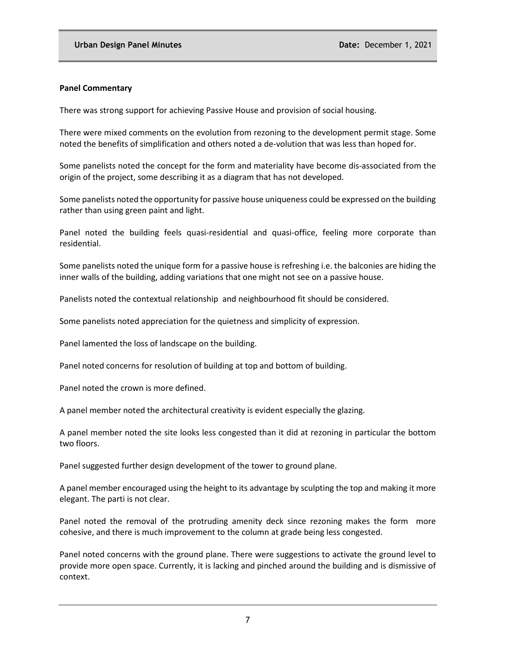#### **Panel Commentary**

There was strong support for achieving Passive House and provision of social housing.

There were mixed comments on the evolution from rezoning to the development permit stage. Some noted the benefits of simplification and others noted a de-volution that was less than hoped for.

Some panelists noted the concept for the form and materiality have become dis-associated from the origin of the project, some describing it as a diagram that has not developed.

Some panelists noted the opportunity for passive house uniqueness could be expressed on the building rather than using green paint and light.

Panel noted the building feels quasi-residential and quasi-office, feeling more corporate than residential.

Some panelists noted the unique form for a passive house is refreshing i.e. the balconies are hiding the inner walls of the building, adding variations that one might not see on a passive house.

Panelists noted the contextual relationship and neighbourhood fit should be considered.

Some panelists noted appreciation for the quietness and simplicity of expression.

Panel lamented the loss of landscape on the building.

Panel noted concerns for resolution of building at top and bottom of building.

Panel noted the crown is more defined.

A panel member noted the architectural creativity is evident especially the glazing.

A panel member noted the site looks less congested than it did at rezoning in particular the bottom two floors.

Panel suggested further design development of the tower to ground plane.

A panel member encouraged using the height to its advantage by sculpting the top and making it more elegant. The parti is not clear.

Panel noted the removal of the protruding amenity deck since rezoning makes the form more cohesive, and there is much improvement to the column at grade being less congested.

Panel noted concerns with the ground plane. There were suggestions to activate the ground level to provide more open space. Currently, it is lacking and pinched around the building and is dismissive of context.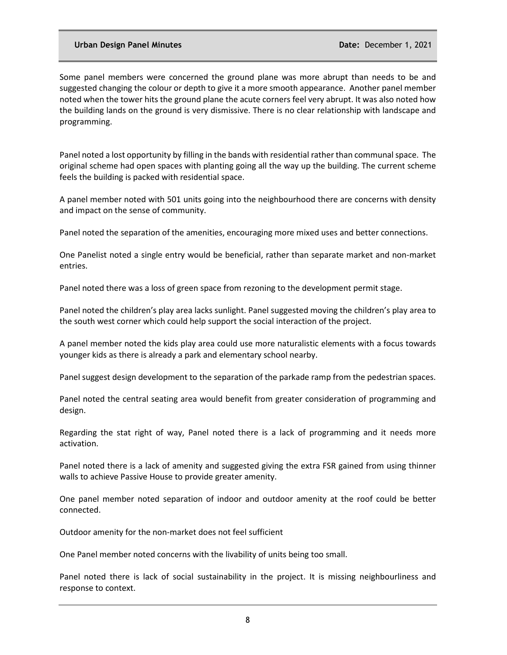Some panel members were concerned the ground plane was more abrupt than needs to be and suggested changing the colour or depth to give it a more smooth appearance. Another panel member noted when the tower hits the ground plane the acute corners feel very abrupt. It was also noted how the building lands on the ground is very dismissive. There is no clear relationship with landscape and programming.

Panel noted a lost opportunity by filling in the bands with residential rather than communal space. The original scheme had open spaces with planting going all the way up the building. The current scheme feels the building is packed with residential space.

A panel member noted with 501 units going into the neighbourhood there are concerns with density and impact on the sense of community.

Panel noted the separation of the amenities, encouraging more mixed uses and better connections.

One Panelist noted a single entry would be beneficial, rather than separate market and non-market entries.

Panel noted there was a loss of green space from rezoning to the development permit stage.

Panel noted the children's play area lacks sunlight. Panel suggested moving the children's play area to the south west corner which could help support the social interaction of the project.

A panel member noted the kids play area could use more naturalistic elements with a focus towards younger kids as there is already a park and elementary school nearby.

Panel suggest design development to the separation of the parkade ramp from the pedestrian spaces.

Panel noted the central seating area would benefit from greater consideration of programming and design.

Regarding the stat right of way, Panel noted there is a lack of programming and it needs more activation.

Panel noted there is a lack of amenity and suggested giving the extra FSR gained from using thinner walls to achieve Passive House to provide greater amenity.

One panel member noted separation of indoor and outdoor amenity at the roof could be better connected.

Outdoor amenity for the non-market does not feel sufficient

One Panel member noted concerns with the livability of units being too small.

Panel noted there is lack of social sustainability in the project. It is missing neighbourliness and response to context.